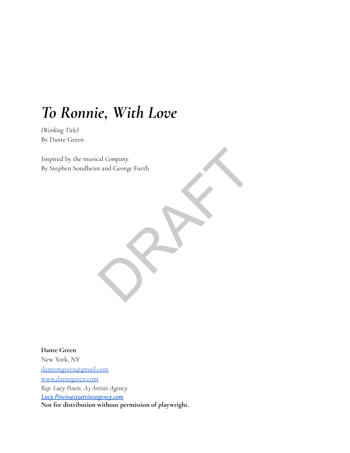# *To Ronnie, With Love*

*(Working Title)* By Dante Green

Inspired by the musical *Company* By Stephen Sondheim and George Furth ral Company<br>n and George Furth<br>
Contract of the contract of the contract of the contract of the contract of the contract of the contract of the contract of the contract of the contract of the contract of the contract of th

**Dante Green** New York, NY [dantemgreen@gmail.com](mailto:dantemgreen@gmail.com) [www.dantegreen.com](http://www.dantegreen.com) *Rep. Lucy Powis, A3 Artists Agency [Lucy.Powis@a3artistsagency.com](mailto:Lucy.Powis@a3artistsagency.com)* **Not for distribution without permission of playwright.**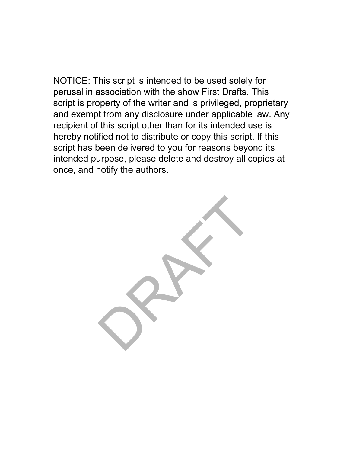NOTICE: This script is intended to be used solely for perusal in association with the show First Drafts. This script is property of the writer and is privileged, proprietary and exempt from any disclosure under applicable law. Any recipient of this script other than for its intended use is hereby notified not to distribute or copy this script. If this script has been delivered to you for reasons beyond its intended purpose, please delete and destroy all copies at once, and notify the authors.

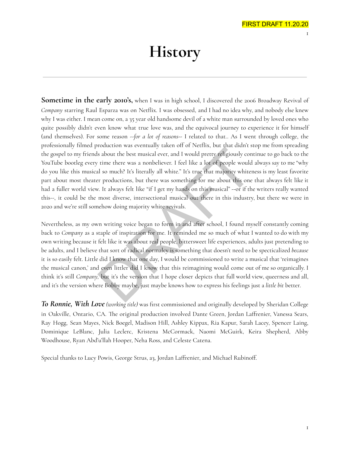# **History**

**Sometime in the early 2010's,** when I was in high school, I discovered the 2006 Broadway Revival of *Company* starring Raul Esparza was on Netflix. I was obsessed, and I had no idea why, and nobody else knew why I was either. I mean come on, a 35 year old handsome devil of a white man surrounded by loved ones who quite possibly didn't even know what true love was, and the equivocal journey to experience it for himself (and themselves). For some reason --*for a lot of reasons--* I related to that.. As I went through college, the professionally filmed production was eventually taken off of Netflix, but that didn't stop me from spreading the gospel to my friends about the best musical ever, and I would pretty religiously continue to go back to the YouTube bootleg every time there was a nonbeliever. I feel like a lot of people would always say to me "why do you like this musical so much? It's literally all white." It's true that majority whiteness is my least favorite part about most theater productions, but there was something for me about this one that always felt like it had a fuller world view. It always felt like "if I get my hands on this musical" --or if the writers really wanted this--, it could be the most diverse, intersectional musical out there in this industry, but there we were in 2020 and we're still somehow doing majority white revivals.

Nevertheless, as my own writing voice began to form in and after school, I found myself constantly coming back to *Company* as a staple of inspiration for me. It reminded me so much of what I wanted to do with my own writing because it felt like it was about real people, bittersweet life experiences, adults just pretending to be adults, and I believe that sort of radical normalcy is something that doesn't need to be specticalized *because* it is so easily felt. Little did I know that one day, I would be commissioned to write a musical that 'reimagines the musical canon,' and even littler did I know that this reimagining would come out of me so organically. I think it's still *Company,* but it's the version that I hope closer depicts that full world view, queerness and all, and it's the version where Bobby maybe, just maybe knows how to express his feelings just a *little bit* better. between the best musical every and I would pretty religiously condition that best musical ever, and I would pretty religiously condition time there was a nonbeliever. I feel like a lot of people would l so much? It's liter

*To Ronnie, With Love (working title)* was first commissioned and originally developed by Sheridan College in Oakville, Ontario, CA. The original production involved Dante Green, Jordan Laffrenier, Vanessa Sears, Ray Hogg, Sean Mayes, Nick Boegel, Madison Hill, Ashley Kippax, Ria Kapur, Sarah Lacey, Spencer Laing, Dominique LeBlanc, Julia Leclerc, Kristena McCormack, Naomi McGuirk, Keira Shepherd, Abby Woodhouse, Ryan Abd'u'llah Hooper, Neha Ross, and Celeste Catena.

Special thanks to Lucy Powis, George Strus, a3, Jordan Laffrenier, and Michael Rubinoff.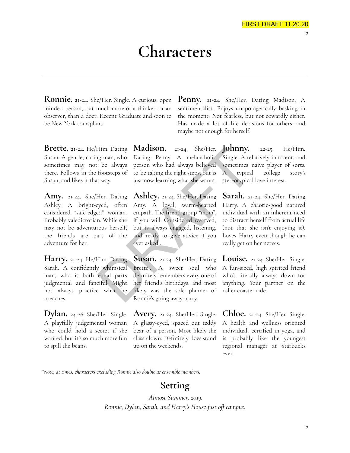# **Characters**

**Ronnie.** 21-24. She/Her. Single. A curious, open minded person, but much more of a thinker, or an observer, than a doer. Recent Graduate and soon to be New York transplant.

**Brette.** 21-24. He/Him. Dating Susan. A gentle, caring man, who sometimes may not be always there. Follows in the footsteps of Susan, and likes it that way.

**Amy.** 21-24. She/Her. Dating Ashley. A bright-eyed, often considered "safe-edged" woman. Probably valedictorian. While she may not be adventurous herself, the friends are part of the adventure for her.

**Harry.** 21-24. He/Him. Dating Sarah. A confidently whimsical man, who is both equal parts judgmental and fanciful. Might not always practice what he preaches.

**Dylan.** 24-26. She/Her. Single. A playfully judgemental woman who could hold a secret if she wanted, but it's so much more fun to spill the beans.

**Madison.** 21-24. She/Her. Dating Penny. A melancholic person who had always believed to be taking the right steps, but is just now learning what she wants.

**Ashley.** 21-24. She/Her. Dating Amy. A loyal, warm-hearted empath. The friend group "mom", if you will. Considered reserved, but is always engaged, listening, and ready to give advice if you ever asked.. Him. Dating **Madison.** 21-24. She/Her. **Johnny.**<br>
Ey man, who Dating Penny. A melancholic Single. A rel<br>
be always person who had always believed sometimes r<br>
footsteps of to be taking the right steps, but is A typical<br>
tw

**Susan.** 21-24. She/Her. Dating Brette.. A sweet soul who definitely remembers every one of her friend's birthdays, and most likely was the sole planner of Ronnie's going away party.

**Avery.** 21-24. She/Her. Single. A glassy-eyed, spaced out teddy bear of a person. Most likely the class clown. Definitely does stand up on the weekends.

**Penny.** 21-24. She/Her. Dating Madison. A sentimentalist. Enjoys unapologetically basking in the moment. Not fearless, but not cowardly either. Has made a lot of life decisions for others, and maybe not enough for herself.

> **Johnny.** 22-25. He/Him. Single. A relatively innocent, and sometimes naive player of sorts. A typical college story's stereotypical love interest.

**Sarah.** 21-24. She/Her. Dating Harry. A chaotic-good natured individual with an inherent need to distract herself from actual life (not that she isn't enjoying it). Loves Harry even though he can really get on her nerves.

**Louise.** 21-24. She/Her. Single. A fun-sized, high spirited friend who's literally always down for anything. Your partner on the roller coaster ride.

**Chloe.** 21-24. She/Her. Single. A health and wellness oriented individual, certified in yoga, and is probably like the youngest regional manager at Starbucks ever.

*\*Note, at times, characters excluding Ronnie also double as ensemble members.*

# **Setting**

*Almost Summer, 2019. Ronnie, Dylan, Sarah, and Harry's House just off campus.*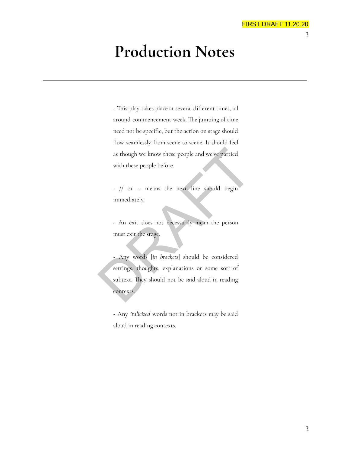# **Production Notes**

- This play takes place at several different times, all around commencement week. The jumping of time need not be specific, but the action on stage should flow seamlessly from scene to scene. It should feel as though we know these people and we've partied with these people before.

- // or -- means the next line should begin immediately.

- An exit does not necessarily mean the person must exit the stage.

- Any words [*in brackets*] should be considered settings, thoughts, explanations or some sort of subtext. They should not be said aloud in reading contexts. DRAFT

- Any *italicized* words not in brackets may be said aloud in reading contexts.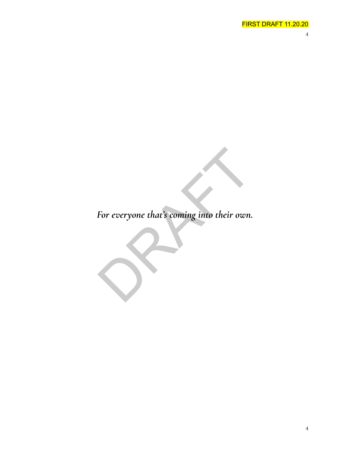*For everyone that's coming into their own.* For everyone that's coming into their own.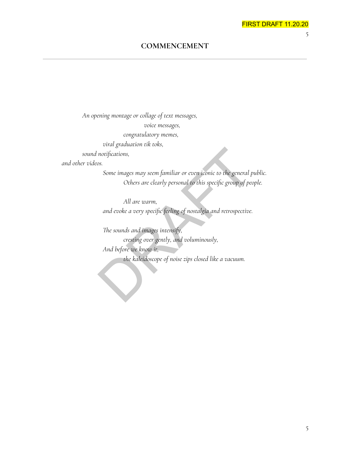5

# **COMMENCEMENT**

*An opening montage or collage of text messages, voice messages, congratulatory memes,*

*viral graduation tik toks,*

*sound notifications,*

*and other videos.*

*Some images may seem familiar or even iconic to the general public. Others are clearly personal to this specific group of people.*

*All are warm, and evoke a very specific feeling of nostalgia and retrospective.*

*The sounds and images intensify, cresting over gently, and voluminously, And before we know it, the kaleidoscope of noise zips closed like a vacuum.* solutions,<br>
Some images may seem familiar or even iconic to the general p<br>
Others are clearly personal to this specific group of pec<br>
All are warm,<br>
and evoke a very specific feeling of nostalgia and retrospective.<br>
The so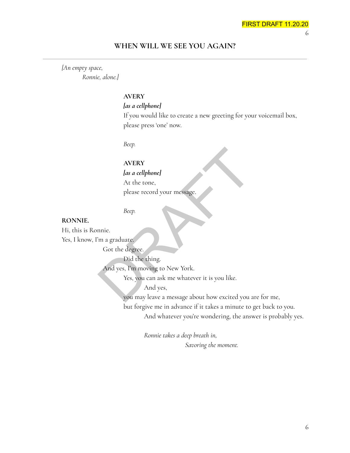#### **WHEN WILL WE SEE YOU AGAIN?**

*[An empty space, Ronnie, alone.]*

#### **AVERY**

#### *[as a cellphone]*

If you would like to create a new greeting for your voicemail box, please press 'one' now.

*Beep.*

# **AVERY**

#### *[as a cellphone]*

At the tone,

please record your message.

*Beep.*

#### **RONNIE.**

Hi, this is Ronnie.

Yes, I know, I'm a graduate.

Got the degree.

Did the thing.

And yes, I'm moving to New York.

Yes, you can ask me whatever it is you like.

And yes,

you may leave a message about how excited you are for me, AVERY<br> *las a cellphonel*<br>
At the tone,<br>
please record your message.<br> *Beep.*<br>
Did the thing.<br>
Got the degree.<br>
Did the thing.<br>
And yes, I'm moving to New York.<br>
Yes, you can ask me whatever it is you like.<br>
And yes,<br>
you

but forgive me in advance if it takes a minute to get back to you.

And whatever you're wondering, the answer is probably yes.

*Ronnie takes a deep breath in, Savoring the moment.*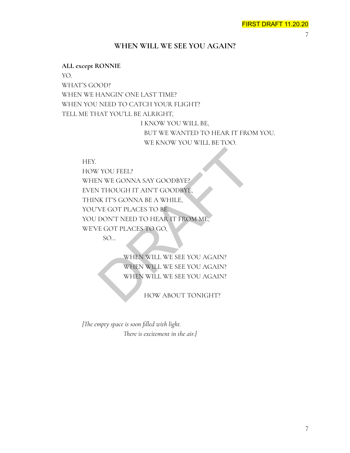# **WHEN WILL WE SEE YOU AGAIN?**

#### **ALL except RONNIE**

YO.

WHAT'S GOOD?

WHEN WE HANGIN' ONE LAST TIME?

WHEN YOU NEED TO CATCH YOUR FLIGHT?

TELL ME THAT YOU'LL BE ALRIGHT,

I KNOW YOU WILL BE, BUT WE WANTED TO HEAR IT FROM YOU. WE KNOW YOU WILL BE TOO.

#### HEY.

HOW YOU FEEL? WHEN WE GONNA SAY GOODBYE? EVEN THOUGH IT AIN'T GOODBYE, THINK IT'S GONNA BE A WHILE, YOU'VE GOT PLACES TO BE. YOU DON'T NEED TO HEAR IT FROM ME, WE'VE GOT PLACES TO GO, N TOU FEEL?<br>
N WE GONNA SAY GOODBYE?<br>
N THOUGH IT AIN'T GOODBYE?<br>
IK IT'S GONNA BE A WHILE,<br>
NE GOT PLACES TO BE.<br>
DON'T NEED TO HEAR IT FROM ME,<br>
E GOT PLACES TO GO,<br>
SO...<br>
WHEN WILL WE SEE YOU AGAIN?<br>
WHEN WILL WE SEE Y

SO…

WHEN WILL WE SEE YOU AGAIN? WHEN WILL WE SEE YOU AGAIN? WHEN WILL WE SEE YOU AGAIN?

HOW ABOUT TONIGHT?

*[The empty space is soon filled with light. There is excitement in the air.]*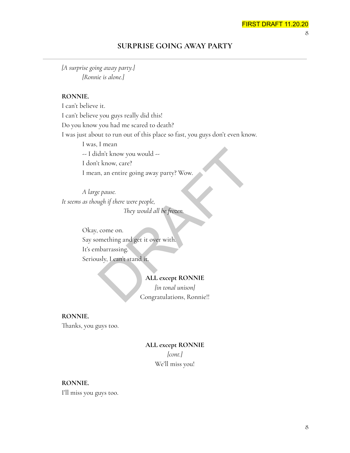#### FIRST DRAFT 11.20.20 8

# **SURPRISE GOING AWAY PARTY**

*[A surprise going away party.] [Ronnie is alone.]*

#### **RONNIE.**

I can't believe it. I can't believe you guys really did this! Do you know you had me scared to death? I was just about to run out of this place so fast, you guys don't even know. I was, I mean -- I didn't know you would -- I don't know, care? I mean, an entire going away party? Wow. dn't know you would --<br>
x know, care?<br>
m, an entire going away party? Wow.<br>
e pause.<br>
e pause.<br>
mething and get it over with.<br>
come on.<br>
mething and get it over with.<br>
abarrassing.<br>
sly, I can't stand it.<br>
ALL except RONNI

*A large pause. It seems as though if there were people, They would all be frozen.*

> Okay, come on. Say something and get it over with. It's embarrassing. Seriously, I can't stand it.

#### **ALL except RONNIE**

*[in tonal unison]* Congratulations, Ronnie!!

# **RONNIE.** Thanks, you guys too.

# **ALL except RONNIE** *[cont.]* We'll miss you!

# **RONNIE.**

I'll miss you guys too.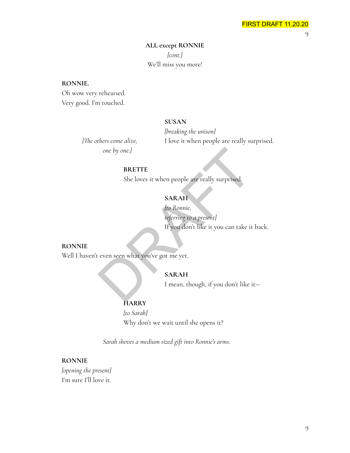# **ALL except RONNIE** *[cont.]* We'll miss you more!

#### **RONNIE.**

Oh wow very rehearsed. Very good. I'm touched.

#### **SUSAN**

*[breaking the unison] [The others come alive,* I love it when people are really surprised.

*one by one.]*

#### **BRETTE**

She loves it when people are really surprised.

# **SARAH**

*[to Ronnie, referring to a present]* If you don't like it you can take it back. one by one.]<br>
BRETTE<br>
She loves it when people are really surprised.<br>
SARAH<br> *Ito Ronnie,<br>
referring to a present]*<br>
If you don't like it you can take it<br>
ceven seen what you've got me yet.<br>
SARAH<br>
I mean, though, if you d

#### **RONNIE**

Well I haven't even seen what you've got me yet.

#### **SARAH**

I mean, though, if you don't like it--

#### **HARRY**

*[to Sarah]* Why don't we wait until she opens it?

*Sarah shoves a medium sized gift into Ronnie's arms.*

#### **RONNIE**

*[opening the present]* I'm sure I'll love it.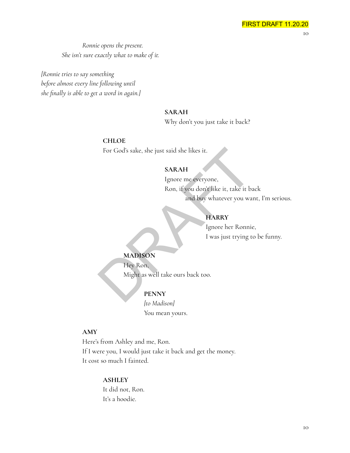*Ronnie opens the present. She isn't sure exactly what to make of it.*

*[Ronnie tries to say something before almost every line following until she finally is able to get a word in again.]*

#### **SARAH**

Why don't you just take it back?

#### **CHLOE**

For God's sake, she just said she likes it.

#### **SARAH**

Ignore me everyone, Ron, if you don't like it, take it back and buy whatever you want, I'm serious. For God's sake, she just said she likes it.<br>
SARAH<br>
Ignore me everyone,<br>
Ron, if you don't like it, take it based and buy whatever you was<br>
and buy whatever you was<br>
HARRY<br>
Ignore her Ronnic<br>
I was just trying to<br>
MADISON<br>

# **HARRY**

Ignore her Ronnie, I was just trying to be funny.

# **MADISON**

Hey Ron,

Might as well take ours back too.

# **PENNY**

*[to Madison]* You mean yours.

#### **AMY**

Here's from Ashley and me, Ron. If I were you, I would just take it back and get the money. It cost so much I fainted.

#### **ASHLEY**

It did not, Ron. It's a hoodie.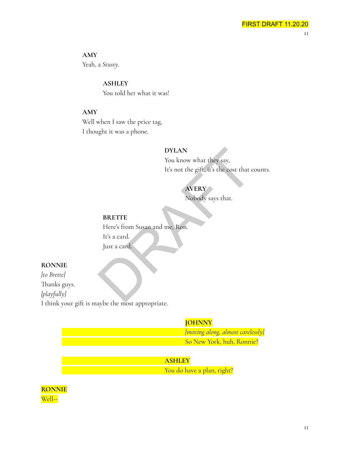**AMY**

Yeah, a *Stussy.*

**ASHLEY** You told her what it was!

# **AMY**

Well when I saw the price tag, I thought it was a phone.

# **DYLAN**

You know what they say, It's not the gift, it's the cost that counts.

# **AVERY**

Nobody says that.

# **BRETTE**

Here's from Susan and me, Ron. It's a card. Just a card. DYLAN<br>
You know what they say,<br>
It's not the gift, it's the cost that c<br>
AVERY<br>
Nobody says that.<br>
BRETTE<br>
Here's from Susan and me, Ron.<br>
It's a card<br>
Just a card

# **RONNIE**

*[to Brette]* Thanks guys. *[playfully]* I think your gift is maybe the most appropriate.

# **JOHNNY**

*[moving along, almost carelessly]* So New York, huh, Ronnie?

# **ASHLEY**

You do have a plan, right?

**RONNIE** Well--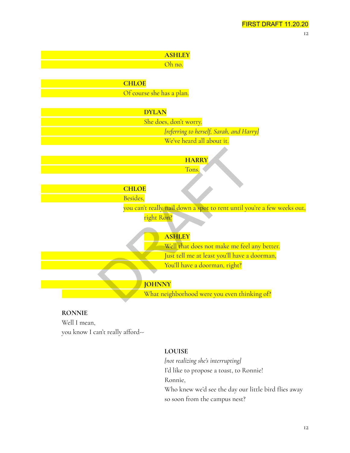12



# **RONNIE**

Well I mean, you know I can't really afford--

# **LOUISE**

*[not realizing she's interrupting]* I'd like to propose a toast, to Ronnie! Ronnie, Who knew we'd see the day our little bird flies away so soon from the campus nest?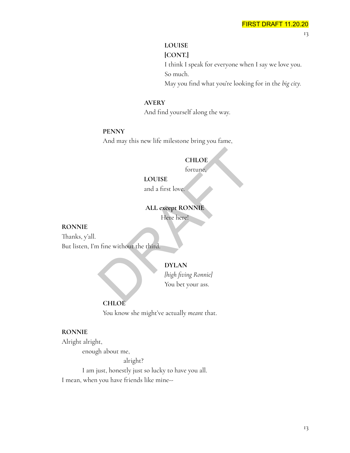#### **LOUISE**

**[CONT.]** I think I speak for everyone when I say we love you. So much. May you find what you're looking for in the *big city.*

#### **AVERY**

And find yourself along the way.

#### **PENNY**

And may this new life milestone bring you fame,

# **CHLOE**

fortune,

## **LOUISE**

and a first love.

#### **ALL except RONNIE**

Here here!

#### **RONNIE**

Thanks, y'all. But listen, I'm fine without the third. CHLOE<br>
fortune,<br>
LOUISE<br>
and a first love.<br>
ALL except RONNIE<br>
Here here!<br>
Price here!<br>
DYLAN<br>
(high fiving Ronnie)<br>
You bet your ass.

#### **DYLAN**

*[high fiving Ronnie]* You bet your ass.

#### **CHLOE**

You know she might've actually *meant* that.

#### **RONNIE**

Alright alright,

enough about me,

alright?

I am just, honestly just so lucky to have you all. I mean, when you have friends like mine--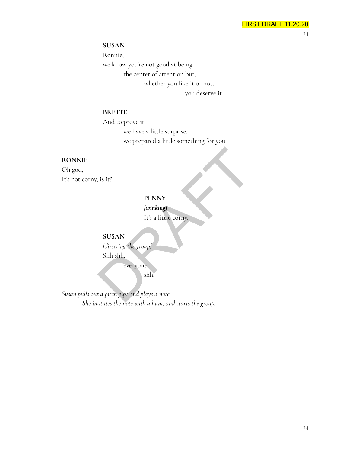**SUSAN**

Ronnie, we know you're not good at being the center of attention but, whether you like it or not, you deserve it.

#### **BRETTE**

And to prove it, we have a little surprise. we prepared a little something for you.

#### **RONNIE**

Oh god, It's not corny, is it?

#### **PENNY**

*[winking]* It's a little corny.

**SUSAN** *[directing the group]* Shh shh, everyone, is it?<br>
PENNY<br>
lwinking<br>
It's a little corny.<br>
SUSAN<br>
ldirecting the group<br>
Shh shh,<br>
everyone,<br>
shh.<br>
t a pitch pipe and plays a note.

shh.

*Susan pulls out a pitch pipe and plays a note. She imitates the note with a hum, and starts the group.*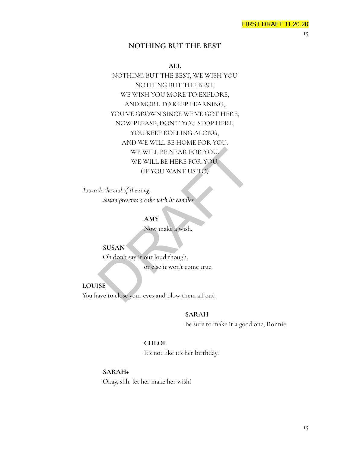#### **NOTHING BUT THE BEST**

**ALL**

NOTHING BUT THE BEST, WE WISH YOU NOTHING BUT THE BEST, WE WISH YOU MORE TO EXPLORE, AND MORE TO KEEP LEARNING, YOU'VE GROWN SINCE WE'VE GOT HERE, NOW PLEASE, DON'T YOU STOP HERE, YOU KEEP ROLLING ALONG, AND WE WILL BE HOME FOR YOU. WE WILL BE NEAR FOR YOU. WE WILL BE HERE FOR YOU. (IF YOU WANT US TO) WE WILL BE NEAR FOR YOU.<br>
WE WILL BE HERE FOR YOU.<br>
(IF YOU WANT US TO)<br>
ds the end of the song,<br>
Susan presents a cake with lit candles.<br>
AMY<br>
Now make a wish.<br>
SUSAN<br>
Oh don't say it out loud though,<br>
or else it won't co

*Towards the end of the song, Susan presents a cake with lit candles.*

**AMY**

Now make a wish.

**SUSAN** Oh don't say it out loud though,

or else it won't come true.

**LOUISE**

You have to close your eyes and blow them all out.

#### **SARAH**

Be sure to make it a good one, Ronnie.

#### **CHLOE**

It's not like it's her birthday.

**SARAH+**

Okay, shh, let her make her wish!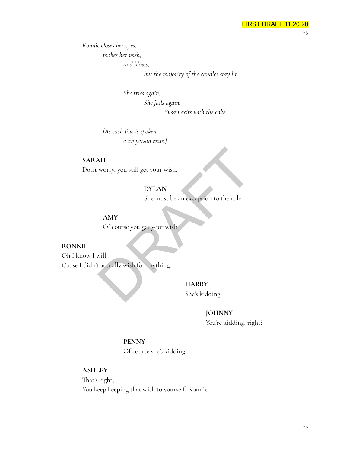*Ronnie closes her eyes, makes her wish, and blows,*

*but the majority of the candles stay lit.*

*She tries again,*

*She fails again.*

*Susan exits with the cake.*

*[As each line is spoken, each person exits.]*

**SARAH** Don't worry, you still get your wish.

# **DYLAN**

She must be an exception to the rule.

**AMY**

Of course you get your wish.

#### **RONNIE**

Oh I know I will. Cause I didn't actually wish for anything. AH<br>
worry, you still get your wish.<br>
DYLAN<br>
She must be an exception to the rule.<br>
AMY<br>
Of course you get your wish.<br>
will.<br>
actually wish for anything.<br>
HARRY<br>
She's kidding.

**HARRY** She's kidding.

#### **JOHNNY**

You're kidding, right?

#### **PENNY**

Of course she's kidding.

#### **ASHLEY**

That's right, You keep keeping that wish to yourself, Ronnie.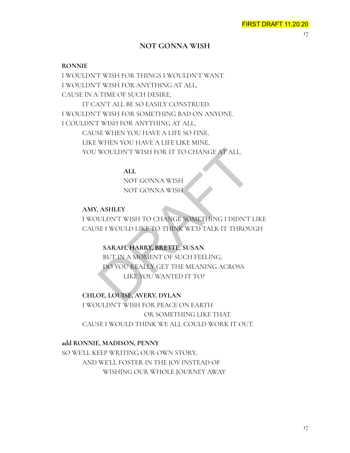# **NOT GONNA WISH**

#### **RONNIE**

I WOULDN'T WISH FOR THINGS I WOULDN'T WANT. I WOULDN'T WISH FOR ANYTHING AT ALL, CAUSE IN A TIME OF SUCH DESIRE, IT CAN'T ALL BE SO EASILY CONSTRUED. I WOULDN'T WISH FOR SOMETHING BAD ON ANYONE. I COULDN'T WISH FOR ANYTHING AT ALL, CAUSE WHEN YOU HAVE A LIFE SO FINE, LIKE WHEN YOU HAVE A LIFE LIKE MINE, YOU WOULDN'T WISH FOR IT TO CHANGE AT ALL.

> **ALL** NOT GONNA WISH NOT GONNA WISH

#### **AMY, ASHLEY**

I WOULDN'T WISH TO CHANGE SOMETHING I DIDN'T LIKE CAUSE I WOULD LIKE TO THINK WE'D TALK IT THROUGH

#### **SARAH, HARRY, BRETTE, SUSAN**

BUT IN A MOMENT OF SUCH FEELING, DO YOU REALLY GET THE MEANING ACROSS LIKE YOU WANTED IT TO? WOULDN'T WISH FOR IT TO CHANGE AT ALL.<br>
ALL<br>
NOT GONNA WISH<br>
NOT GONNA WISH<br>
ASHLEY<br>
ULDN'T WISH TO CHANGE SOMETHING I DIDN'T<br>
SE I WOULD LIKE TO THINK WED TALK IT THROU<br>
SARAH, HARRY, BRETTE, SUSAN<br>
BUT IN A MOMENT OF SUC

## **CHLOE, LOUISE, AVERY, DYLAN**

I WOULDN'T WISH FOR PEACE ON EARTH OR SOMETHING LIKE THAT. CAUSE I WOULD THINK WE ALL COULD WORK IT OUT.

#### **add RONNIE, MADISON, PENNY**

SO WE'LL KEEP WRITING OUR OWN STORY, AND WE'LL FOSTER IN THE JOY INSTEAD OF WISHING OUR WHOLE JOURNEY AWAY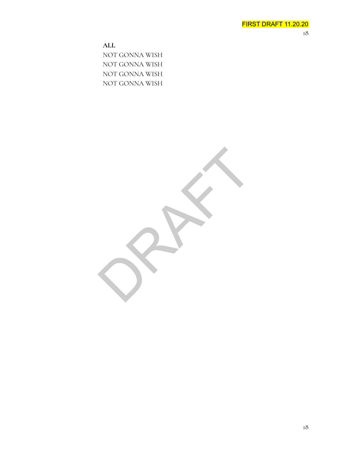**ALL** NOT GONNA WISH NOT GONNA WISH NOT GONNA WISH NOT GONNA WISH

RAFT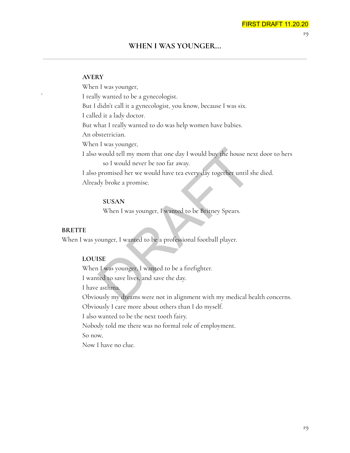19

#### **WHEN I WAS YOUNGER...**

#### **AVERY**

When I was younger, ` I really wanted to be a gynecologist. But I didn't call it a gynecologist, you know, because I was six. I called it a lady doctor. But what I really wanted to do was help women have babies. An obstetrician. When I was younger, I also would tell my mom that one day I would buy the house next door to hers so I would never be too far away. I also promised her we would have tea every day together until she died. Already broke a promise. would tell my mom that one day I would buy the house ne<br>so I would never be too far away.<br>promised her we would have tea every day together until s<br>dy broke a promise.<br>**SUSAN**<br>When I was younger, I wanted to be Britney Spe

#### **SUSAN**

When I was younger, I wanted to be Britney Spears.

#### **BRETTE**

When I was younger, I wanted to be a professional football player.

#### **LOUISE**

When I was younger, I wanted to be a firefighter.

I wanted to save lives, and save the day.

I have asthma.

Obviously my dreams were not in alignment with my medical health concerns.

Obviously I care more about others than I do myself.

I also wanted to be the next tooth fairy.

Nobody told me there was no formal role of employment.

So now,

Now I have no clue.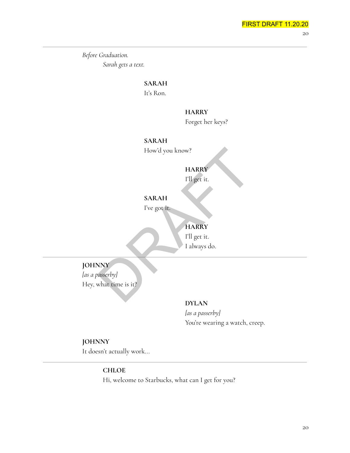*Before Graduation. Sarah gets a text.*

# **SARAH**

It's Ron.

#### **HARRY**

Forget her keys?

#### **SARAH**

How'd you know?

# **HARRY**

I'll get it.

# **SARAH**

I've got it.

# **HARRY**

I'll get it. I always do.

# **JOHNNY**

*[as a passerby]* Hey, what time is it? How'd you know?<br>
HARRY<br>
I'll get it.<br>
SARAH<br>
I've got it.<br>
HARRY<br>
I'll get it.<br>
I always do.<br>
NY<br>
Masserby<br>
What time is it?

# **DYLAN**

*[as a passerby]* You're wearing a watch, creep.

# **JOHNNY**

It doesn't actually work...

#### **CHLOE**

Hi, welcome to Starbucks, what can I get for you?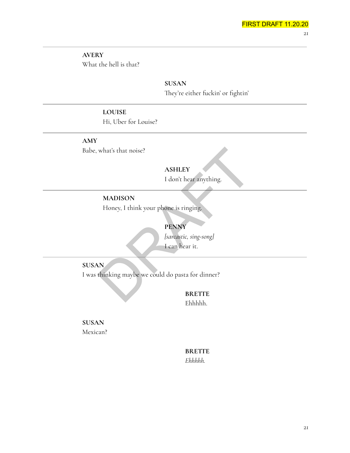**AVERY** What the hell is that?

# **SUSAN** They're either fuckin' or fightin'

# **LOUISE**

Hi, Uber for Louise?

**AMY** Babe, what's that noise?

# **ASHLEY**

I don't hear anything.

# **MADISON**

Honey, I think your phone is ringing.

# **PENNY**

*[sarcastic, sing-song]* I can hear it.

**SUSAN**

I was thinking maybe we could do pasta for dinner? What's that noise?<br>
ASHLEY<br>
I don't hear anything.<br>
MADISON<br>
Honey, I think your phone is ringing.<br>
PENNY<br>
Isarcastic, sing-songl<br>
I can hear it.<br>
N<br>
thinking maybe we could do pasta for dinner?<br>
BRETTE

**BRETTE** Ehhhhh.

**SUSAN** Mexican?

# **BRETTE** *Ehhhhh.*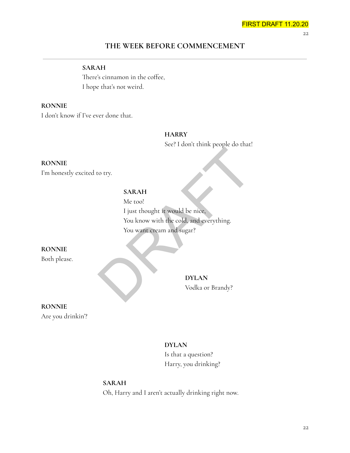22

# **THE WEEK BEFORE COMMENCEMENT**

# **SARAH**

There's cinnamon in the coffee, I hope that's not weird.

# **RONNIE**

I don't know if I've ever done that.

# **HARRY**

See? I don't think people do that!

#### **RONNIE**

I'm honestly excited to try.

# **SARAH**

Me too! I just thought it would be nice, You know with the cold, and everything. You want cream and sugar? Example 10<br>
SARAH<br>
Me too!<br>
I just thought it would be nice,<br>
You know with the cold, and everything.<br>
You want cream and sugar?<br>
DYLAN<br>
DYLAN<br>
Vodka or Brandy?

# **RONNIE**

Both please.

**DYLAN** Vodka or Brandy?

# **RONNIE**

Are you drinkin'?

# **DYLAN**

Is that a question? Harry, you drinking?

# **SARAH**

Oh, Harry and I aren't actually drinking right now.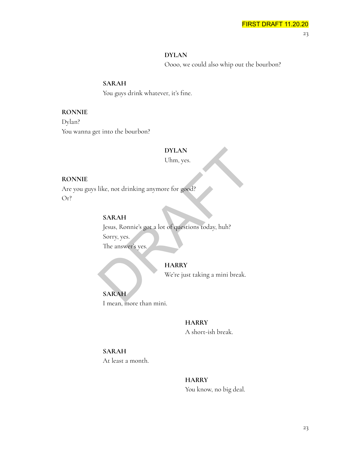#### **DYLAN**

Oooo, we could also whip out the bourbon?

#### **SARAH**

You guys drink whatever, it's fine.

#### **RONNIE**

Dylan? You wanna get into the bourbon?

#### **DYLAN**

Uhm, yes.

#### **RONNIE**

Are you guys like, not drinking anymore for good? Or?

#### **SARAH**

Jesus, Ronnie's got a lot of questions today, huh? Sorry, yes. The answer's yes. DYLAN<br>Uhm, yes.<br>
like, not drinking anymore for good?<br>
SARAH<br>
Jesus, Ronnie's got a lot of questions today, huh?<br>
Sorry, yes.<br>
The answer's yes.<br>
HARRY<br>
We're just taking a mini break.<br>
SARAH

#### **HARRY**

We're just taking a mini break.

**SARAH** I mean, more than mini.

# **HARRY**

A short-ish break.

#### **SARAH**

At least a month.

# **HARRY**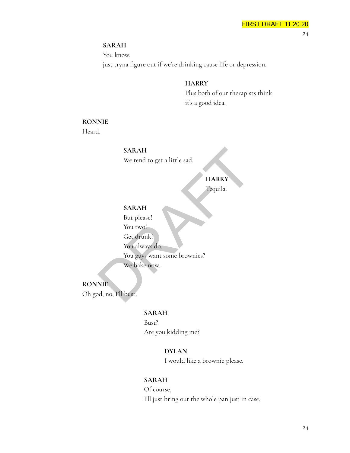#### **SARAH**

You know,

just tryna figure out if we're drinking cause life or depression.

#### **HARRY**

Plus both of our therapists think it's a good idea.

# **RONNIE**

Heard.

**SARAH** We tend to get a little sad.

# **HARRY**

Tequila.

# **SARAH**

But please!

You two!

Get drunk!

You always do.

You guys want some brownies? We bake now. SARAH<br>
We tend to get a little sad.<br>
HARRY<br>
Tequila.<br>
SARAH<br>
But please!<br>
You two!<br>
Get drunk!<br>
You always do.<br>
You always do.<br>
You guys want some brownies?<br>
We bake now.<br>
NIE<br>
d, no, I'll bust.

# **RONNIE**

Oh god, no, I'll bust.

#### **SARAH**

Bust? Are you kidding me?

## **DYLAN**

I would like a brownie please.

## **SARAH**

Of course, I'll just bring out the whole pan just in case.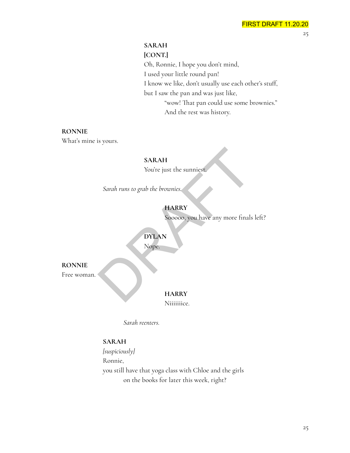# **SARAH**

## **[CONT.]**

Oh, Ronnie, I hope you don't mind, I used your little round pan! I know we like, don't usually use each other's stuff, but I saw the pan and was just like, "wow! That pan could use some brownies." And the rest was history.

#### **RONNIE**

What's mine is yours.

#### **SARAH**

You're just the sunniest.

*Sarah runs to grab the brownies.*

# **HARRY**

Sooooo, you have any more finals left? SARAH<br>
You're just the sunniest.<br>
Sarah runs to grab the brownies.<br>
HARRY<br>
Sooooo, you have any more finals<br>
DYLAN<br>
Nope.<br>
HARRY

# **DYLAN**

Nope.

**RONNIE**

Free woman.

#### **HARRY**

Niiiiiiice.

*Sarah reenters.*

# **SARAH**

*[suspiciously]* Ronnie, you still have that yoga class with Chloe and the girls on the books for later this week, right?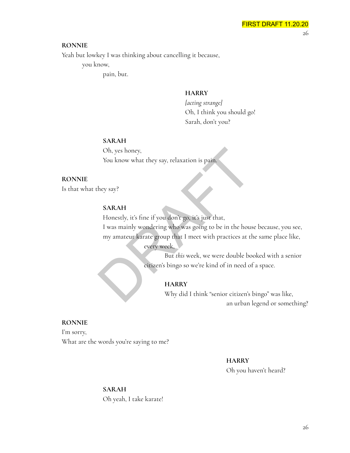#### **RONNIE**

Yeah but lowkey I was thinking about cancelling it because,

you know,

pain, but.

#### **HARRY**

*[acting strange]* Oh, I think you should go! Sarah, don't you?

#### **SARAH**

Oh, yes honey, You know what they say, relaxation is pain.

#### **RONNIE**

Is that what they say?

#### **SARAH**

Honestly, it's fine if you don't go, it's just that,

I was mainly wondering who was going to be in the house because, you see, my amateur karate group that I meet with practices at the same place like, Oh, yes honey,<br>
You know what they say, relaxation is pain.<br>
Hey say?<br>
SARAH<br>
Honestly, it's fine if you don't go, it's just that,<br>
I was mainly wondering who was going to be in the hous<br>
my amateur karate group that I mee

every week,

But *this* week, we were double booked with a senior citizen's bingo so we're kind of in need of a space.

#### **HARRY**

Why did I think "senior citizen's bingo" was like, an urban legend or something?

#### **RONNIE**

I'm sorry, What are the words you're saying to me?

#### **HARRY**

Oh you haven't heard?

#### **SARAH**

Oh yeah, I take karate!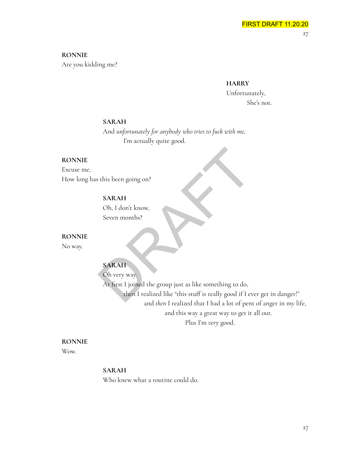**RONNIE** Are you kidding me?

**HARRY**

Unfortunately, She's not.

#### **SARAH**

And *unfortunately for anybody who tries to fuck with me,* I'm actually quite good.

#### **RONNIE**

Excuse me, How long has this been going on?

# **SARAH**

Oh, I don't know, Seven months?

#### **RONNIE**

No way.

# **SARAH**

Oh very way. At first I joined the group just as like something to do, then I realized like "this stuff is really good if I ever get in danger!" and *then* I realized that I had a lot of pent of anger in my life, and this way a great way to get it all out. Plus I'm *very* good. SARAH<br>
SARAH<br>
Oh, I don't know,<br>
Seven months?<br>
SARAH<br>
Oh very way.<br>
At first I joined the group just as like something to do,<br>
then I realized like "this stuff is really good if I ev

#### **RONNIE**

Wow.

#### **SARAH**

Who knew what a routine could do.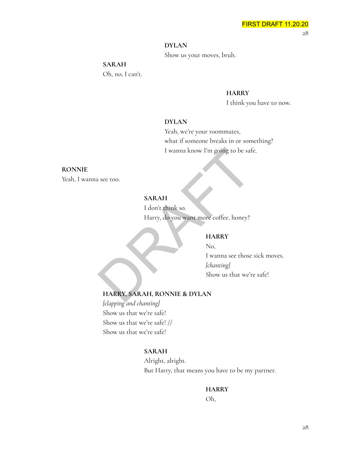#### **DYLAN**

Show us your moves, bruh.

#### **SARAH**

Oh, no, I can't.

#### **HARRY**

I think you have to now.

#### **DYLAN**

Yeah, we're your roommates, what if someone breaks in or something? I wanna know I'm going to be safe.

#### **RONNIE**

Yeah, I wanna see too.

# **SARAH**

I don't think so. Harry, do you want more coffee, honey? I wanna know I'm going to be saft<br>
see too.<br>
SARAH<br>
I don't think so.<br>
Harry, do you want more coffee, honey?<br>
HARRY<br>
No,<br>
I wanna see those<br> *[chanting]*<br>
Show us that we'r<br>
HARRY, SARAH, RONNIE & DYLAN

# **HARRY**

No, I wanna see those sick moves. *[chanting]* Show us that we're safe!

#### **HARRY, SARAH, RONNIE & DYLAN**

*[clapping and chanting]* Show us that we're safe! Show us that we're safe! // Show us that we're safe!

#### **SARAH**

Alright, alright. But Harry, that means you have to be my partner.

**HARRY**

Oh,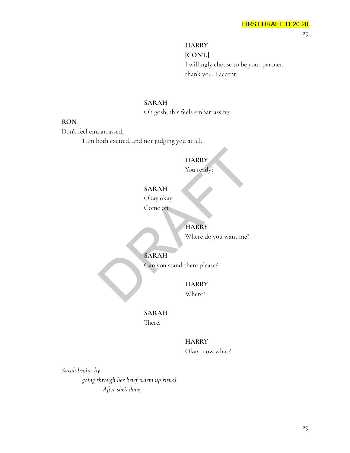# **HARRY**

**[CONT.]** I willingly choose to be your partner, thank you, I accept.

# **SARAH**

Oh gosh, this feels embarrassing.

#### **RON**

Don't feel embarrassed,

I am both excited, and not judging you at all.

# **HARRY**

You ready?

# **SARAH**

Okay okay,

Come on.

# **HARRY**

Where do you want me?

# **SARAH**

Can you stand there please? HARRY<br>
You ready?<br>
SARAH<br>
Okay okay,<br>
Come on.<br>
HARRY<br>
Where do you want me?<br>
SARAH<br>
Can you stand there please?<br>
HARRY<br>
HARRY<br>
Where do you want me?<br>
HARRY<br>
Where lows and there please?<br>
HARRY<br>
Where?

# **HARRY**

Where?

# **SARAH**

There.

#### **HARRY**

Okay, now what?

*Sarah begins by going through her brief warm up ritual. After she's done,*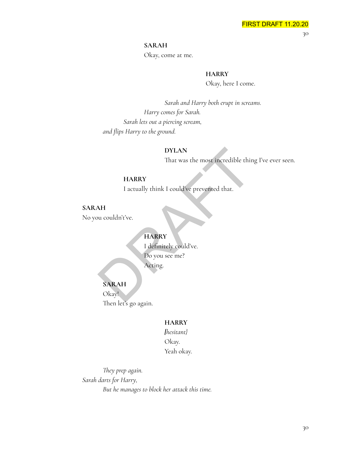#### **SARAH**

Okay, come at me.

# **HARRY**

Okay, here I come.

*Sarah and Harry both erupt in screams. Harry comes for Sarah. Sarah lets out a piercing scream, and flips Harry to the ground.*

#### **DYLAN**

That was the most incredible thing I've ever seen.

# **HARRY**

I actually think I could've prevented that.

# **SARAH**

No you couldn't've.

# **HARRY**

I definitely could've. Do you see me? Acting. DYLAN<br>
That was the most incredible thir<br>
HARRY<br>
I actually think I could've prevented that.<br>
AH<br>
bu couldn't've.<br>
HARRY<br>
I definitely could've.<br>
Do you see me?<br>
Acting.<br>
SARAH<br>
Okay!

#### **SARAH**

Okay! Then let's go again.

#### **HARRY**

*[hesitant}* Okay. Yeah okay.

*They prep again. Sarah darts for Harry, But he manages to block her attack this time.*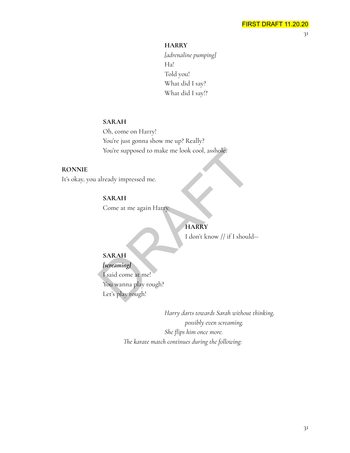**HARRY**

*[adrenaline pumping]* Ha! Told you! What did I say? What did I say!?

#### **SARAH**

Oh, come on Harry! You're just gonna show me up? Really? You're supposed to make me look cool, asshole.

#### **RONNIE**

It's okay, you already impressed me.

# **SARAH**

Come at me again Harry.

# **HARRY**

I don't know // if I should--

# **SARAH**

#### *[screaming]*

I said come at me! You wanna play rough? Let's play rough! You're supposed to make me look cool, asshole.<br>
already impressed me.<br> **SARAH**<br>
Come at me again Harty.<br> **HARRY**<br>
I don't know // if I should<br> **SARAH**<br> *Sereaming*<br>
I said come at me!<br>
You wanna play rough?<br>
Let's play rou

> *Harry darts towards Sarah without thinking, possibly even screaming. She flips him once more. The karate match continues during the following:*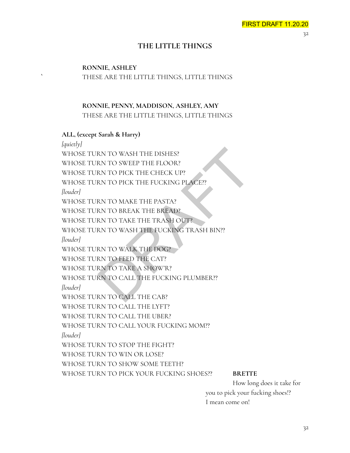# **THE LITTLE THINGS**

# **RONNIE, ASHLEY `** THESE ARE THE LITTLE THINGS, LITTLE THINGS

# **RONNIE, PENNY, MADDISON, ASHLEY, AMY** THESE ARE THE LITTLE THINGS, LITTLE THINGS

#### **ALL, (except Sarah & Harry)**

*[quietly]* WHOSE TURN TO WASH THE DISHES? WHOSE TURN TO SWEEP THE FLOOR? WHOSE TURN TO PICK THE CHECK UP? WHOSE TURN TO PICK THE FUCKING PLACE?? *[louder]* WHOSE TURN TO MAKE THE PASTA? WHOSE TURN TO BREAK THE BREAD? WHOSE TURN TO TAKE THE TRASH OUT? WHOSE TURN TO WASH THE FUCKING TRASH BIN?? *[louder]* WHOSE TURN TO WALK THE DOG? WHOSE TURN TO FEED THE CAT? WHOSE TURN TO TAKE A SHOW'R? WHOSE TURN TO CALL THE FUCKING PLUMBER?? *[louder]* WHOSE TURN TO CALL THE CAB? WHOSE TURN TO CALL THE LYFT? WHOSE TURN TO CALL THE UBER? WHOSE TURN TO CALL YOUR FUCKING MOM?? *[louder]* WHOSE TURN TO STOP THE FIGHT? WHOSE TURN TO WIN OR LOSE? WHOSE TURN TO SHOW SOME TEETH? WHOSE TURN TO PICK YOUR FUCKING SHOES?? **BRETTE** RN TO WASH THE DISHES?<br>
RN TO SWEEP THE FLOOR?<br>
RN TO PICK THE CHECK UP?<br>
RN TO PICK THE FUCKING PLACE?<br>
RN TO MAKE THE PASTA?<br>
RN TO TAKE THE TRASH OUT?<br>
RN TO TAKE THE FUCKING TRASH BIN??<br>
RN TO WALK THE POC?<br>
RN TO WALK

How long does it take for you to pick your fucking shoes!? I mean come on!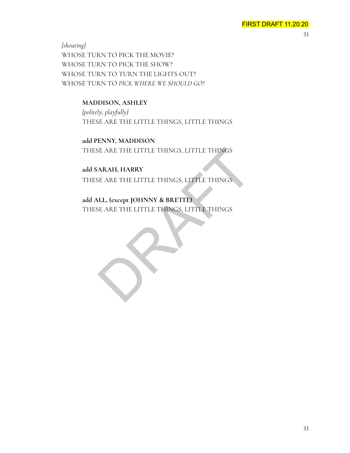*[shouting]* WHOSE TURN TO PICK THE MOVIE? WHOSE TURN TO PICK THE SHOW? WHOSE TURN TO TURN THE LIGHTS OUT? WHOSE TURN TO *PICK WHERE WE SHOULD GO?*

# **MADDISON, ASHLEY**

*[politely, playfully]* THESE ARE THE LITTLE THINGS, LITTLE THINGS

**add PENNY, MADDISON** THESE ARE THE LITTLE THINGS, LITTLE THINGS

**add SARAH, HARRY** THESE ARE THE LITTLE THINGS, LITTLE THINGS E ARE THE LITTLE THINGS, LITTLE THINGS<br>ARAH, HARRY<br>EE ARE THE LITTLE THINGS, LITTLE THINGS<br>LLL, (except JOHNNY & BRETTE)<br>EE ARE THE LITTLE THINGS, LITTLE THINGS

**add ALL, (except JOHNNY & BRETTE)** THESE ARE THE LITTLE THINGS, LITTLE THINGS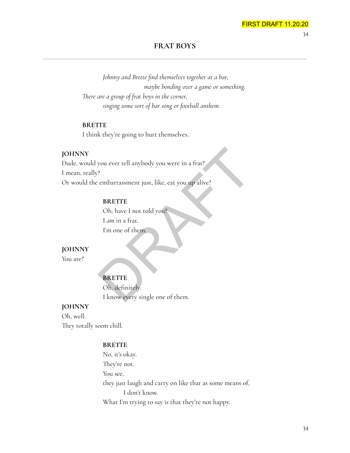34

#### **FRAT BOYS**

*Johnny and Brette find themselves together at a bar, maybe bonding over a game or something. There are a group of frat boys in the corner, singing some sort of bar song or football anthem.*

#### **BRETTE**

I think they're going to hurt themselves.

#### **JOHNNY**

Dude, would you ever tell anybody you were in a frat? I mean, really? Or would the embarrassment just, like, eat you up alive? Nou ever tell anybody you were in a frat?<br>
Prembarrassment just, like, eat you up alive?<br>
BRETTE<br>
Oh, have I not told you?<br>
I am in a frat.<br>
I'm one of them.<br>
PRETTE<br>
Oh, definitely.<br>
I know every single one of them.

#### **BRETTE**

Oh, have I not told you? I *am* in a frat. I'm one of them.

# **JOHNNY**

You are?

# **BRETTE**

Oh, definitely. I know every single one of them.

# **JOHNNY**

Oh, well. They totally seem chill.

#### **BRETTE**

No, it's okay. They're not. You see, they just laugh and carry on like that as some means of, I don't know. What I'm trying to say is that they're not happy.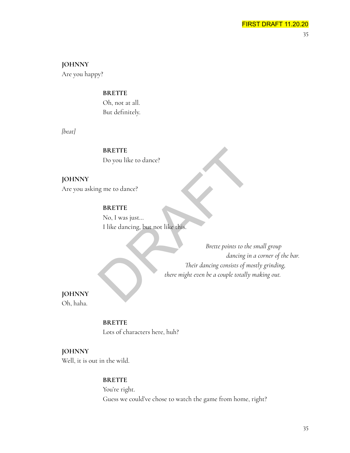# **JOHNNY**

Are you happy?

#### **BRETTE**

Oh, not at all. But definitely.

*[beat]*

**BRETTE** Do you like to dance?

# **JOHNNY**

Are you asking me to dance?

# **BRETTE**

No, I was just… I like dancing, but not like this.

*Brette points to the small group dancing in a corner of the bar. Their dancing consists of mostly grinding, there might even be a couple totally making out.* BRETTE<br>
Do you like to dance?<br>
BRETTE<br>
No, I was just...<br>
I like dancing, but not like this.<br>
Brette points to the<br>
dancing in<br>
Their dancing consists of mo<br>
there might even be a couple totally i

# **JOHNNY**

Oh, haha.

#### **BRETTE**

Lots of characters here, huh?

# **JOHNNY**

Well, it is out in the wild.

#### **BRETTE**

You're right. Guess we could've chose to watch the game from home, right?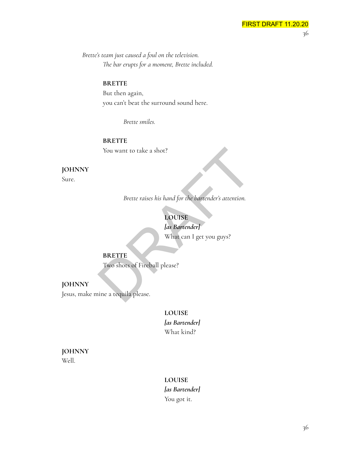*Brette's team just caused a foul on the television. The bar erupts for a moment, Brette included.*

#### **BRETTE**

But then again, you can't beat the surround sound here.

*Brette smiles.*

**BRETTE** You want to take a shot?

# **JOHNNY**

Sure.

*Brette raises his hand for the bartender's attention.*

# **LOUISE**

*[as Bartender]* What can I get you guys? You want to take a shot?<br>
Brette raises his hand for the bartender's attention.<br>
LOUISE<br>
las Bartender]<br>
What can I get you guys?<br>
BRETTE<br>
Two shots of Fireball please?<br>
ine a tequila please.

#### **BRETTE**

Two shots of Fireball please?

#### **JOHNNY**

Jesus, make mine a tequila please.

# **LOUISE** *[as Bartender]* What kind?

#### **JOHNNY** Well.

#### **LOUISE**

*[as Bartender]* You got it.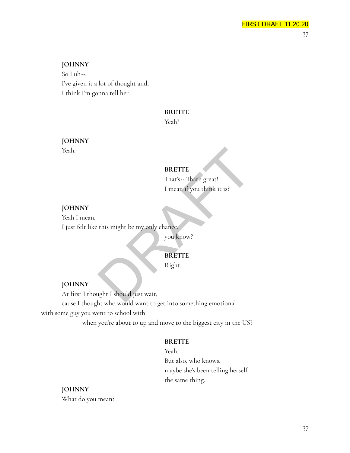# **JOHNNY**

So I uh--, I've given it a lot of thought and, I think I'm gonna tell her.

#### **BRETTE**

Yeah?

# **JOHNNY**

Yeah.

#### **BRETTE**

That's-- That's great! I mean if you think it is?

# **JOHNNY**

Yeah I mean, I just felt like this might be my only chance,

you know?

# **BRETTE**

Right.

#### **JOHNNY**

At first I thought I should just wait, cause I thought who would want to get into something emotional with some guy you went to school with when you're about to up and move to the biggest city in the US? BRETTE<br>
That's-- That's great!<br>
I mean if you think it is?<br>
this might be my only chance,<br>
you know?<br>
you know?<br>
RERETTE<br>
Right.

#### **BRETTE**

Yeah. But also, who knows, maybe she's been telling herself the same thing.

**JOHNNY** What do you mean?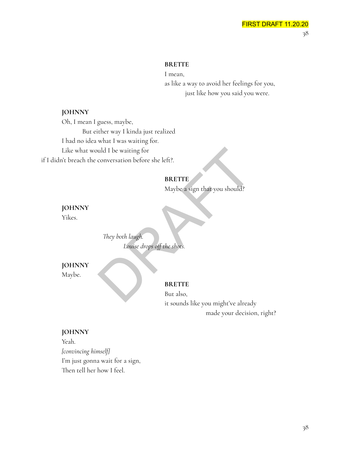#### **BRETTE**

I mean, as like a way to avoid her feelings for you, just like how you said you were.

# **JOHNNY**

Oh, I mean I guess, maybe, But either way I kinda just realized I had no idea what I was waiting for. Like what would I be waiting for if I didn't breach the conversation before she left?. uld I be waiting for<br>
conversation before she left?<br> **BRETTE**<br>
Maybe a sign that you should?<br>
They both laugh.<br>
Louise drops off the shots.<br> **BRETTE**<br>
BUT also,

# **BRETTE**

Maybe a sign that you should?

**JOHNNY** Yikes.

> *They both laugh. Louise drops off the shots.*

# **JOHNNY**

Maybe.

#### **BRETTE**

But also, it sounds like you might've already made your decision, right?

#### **JOHNNY**

Yeah. *[convincing himself]* I'm just gonna wait for a sign, Then tell her how I feel.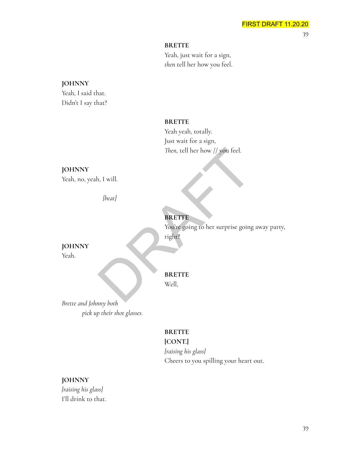#### **BRETTE**

Yeah, just wait for a sign, *then* tell her how you feel.

# **JOHNNY**

Yeah, I said that. Didn't I say that?

#### **BRETTE**

Yeah yeah, totally. Just wait for a sign, *Then,* tell her how // you feel.

# **JOHNNY**

Yeah, no, yeah, I will.

*[beat]*

# **BRETTE** You're going to her surprise going away party, Then, tell her how // you feel.<br>
1, I will.<br>
[beat]<br> **BRETTE**<br>
You're going to her surprise going<br>
right?<br> **BRETTE**<br>
Well,

**JOHNNY** Yeah.

# **BRETTE**

Well,

right?

*Brette and Johnny both pick up their shot glasses.*

# **BRETTE**

# **[CONT.]**

*[raising his glass]* Cheers to you spilling your heart out.

# **JOHNNY**

*[raising his glass]* I'll drink to that.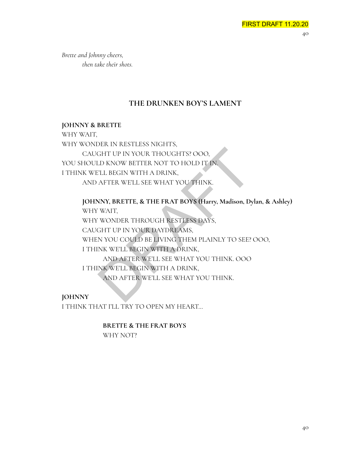*Brette and Johnny cheers, then take their shots.*

# **THE DRUNKEN BOY'S LAMENT**

# **JOHNNY & BRETTE**

WHY WAIT,

WHY WONDER IN RESTLESS NIGHTS, CAUGHT UP IN YOUR THOUGHTS? OOO, YOU SHOULD KNOW BETTER NOT TO HOLD IT IN. I THINK WE'LL BEGIN WITH A DRINK, AND AFTER WE'LL SEE WHAT YOU THINK.

**JOHNNY, BRETTE, & THE FRAT BOYS (Harry, Madison, Dylan, & Ashley)** WHY WAIT, WHY WONDER THROUGH RESTLESS DAYS, CAUGHT UP IN YOUR DAYDREAMS, WHEN YOU COULD BE LIVING THEM PLAINLY TO SEE? OOO, I THINK WE'LL BEGIN WITH A DRINK, AND AFTER WE'LL SEE WHAT YOU THINK. OOO I THINK WE'LL BEGIN WITH A DRINK, AND AFTER WE'LL SEE WHAT YOU THINK. GHT UP IN YOUR THOUGHTS? OOO,<br>CD KNOW BETTER NOT TO HOLD IT IN.<br>CLU BEGIN WITH A DRINK,<br>AFTER WE'LL SEE WHAT YOU THINK.<br>AFTER WE'LL SEE WHAT YOU THINK.<br>NNY, BRETTE, & THE FRAT BOYS (Harry, Madison, Dy<br>WAIT,<br>WONDER THROUGH

**JOHNNY** I THINK THAT I'LL TRY TO OPEN MY HEART…

> **BRETTE & THE FRAT BOYS** WHY NOT?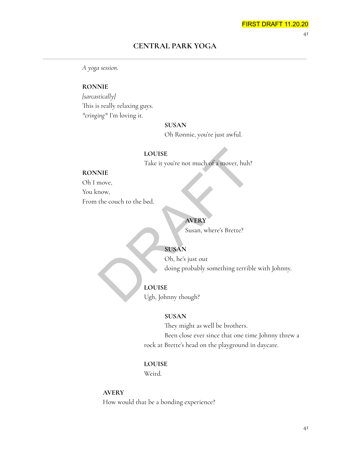41

# **CENTRAL PARK YOGA**

*A yoga session.*

#### **RONNIE**

*[sarcastically]* This is really relaxing guys. *\*cringing\** I'm loving it.

#### **SUSAN**

Oh Ronnie, you're just awful.

#### **LOUISE**

Take it you're not much of a mover, huh?

#### **RONNIE**

Oh I move,

You know,

From the couch to the bed.

# **AVERY**

Susan, where's Brette?

# **SUSAN**

Oh, he's just out doing probably something terrible with Johnny. LOUISE<br>
Take it you're not much of a mover, huh?<br>
NIE<br>
move,<br>
the couch to the bed.<br>
AVERY<br>
Susan, where's Brette?<br>
Susan, where's Brette?<br>
Susan, where's Brette?<br>
Susan, where's Brette?<br>
Susan, where's Brette?<br>
USDAN<br>
Oh,

# **LOUISE**

Ugh, Johnny though?

#### **SUSAN**

They might as well be brothers. Been close ever since that one time Johnny threw a rock at Brette's head on the playground in daycare.

#### **LOUISE**

Weird.

#### **AVERY**

How would that be a bonding experience?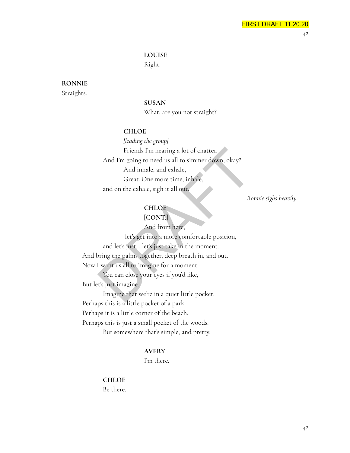#### **LOUISE**

Right.

# **RONNIE**

Straights.

**SUSAN**

What, are you not straight?

#### **CHLOE**

*[leading the group]* Friends I'm hearing a lot of chatter, And I'm going to need us all to simmer down, okay? And inhale, and exhale, Great. One more time, inhale, and on the exhale, sigh it all out. Friends I'm hearing a lot of chatter,<br>
And I'm going to need us all to simmer down, okay?<br>
And inhale, and exhale,<br>
Great. One more time, inhale,<br>
and on the exhale, sigh it all out.<br>
Re<br> **CHLOE**<br> **CONT:**<br>
And from here,<br>

*Ronnie sighs heavily.*

# **CHLOE**

**[CONT.]**

And from here,

let's get into a more comfortable position,

and let's just… let's just take in the moment. And bring the palms together, deep breath in, and out. Now I want us all to imagine for a moment.

You can close your eyes if you'd like,

But let's just imagine.

Imagine that we're in a quiet little pocket. Perhaps this is a little pocket of a park. Perhaps it is a little corner of the beach. Perhaps this is just a small pocket of the woods. But somewhere that's simple, and pretty.

#### **AVERY**

I'm there.

# **CHLOE** Be there.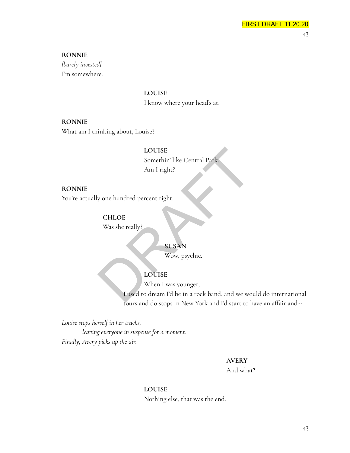#### **RONNIE**

*[barely invested]* I'm somewhere.

**LOUISE**

I know where your head's at.

#### **RONNIE**

What am I thinking about, Louise?

#### **LOUISE**

Somethin' like Central Park. Am I right?

# **RONNIE**

You're actually one hundred percent right.

#### **CHLOE**

Was she really?

#### **SUSAN**

Wow, psychic.

## **LOUISE**

When I was younger,

I used to dream I'd be in a rock band, and we would do international tours and do stops in New York and I'd start to have an affair and-- LOUISE<br>
Somethin' like Central Park.<br>
Am I right?<br>
Vom Park.<br>
CHLOE<br>
Was she really?<br>
SUSAN<br>
Wow, psychic.<br>
LOUISE<br>
When I was younger,<br>
Lased to dream I'd be in a rock band, and we wo

*Louise stops herself in her tracks,*

*leaving everyone in suspense for a moment. Finally, Avery picks up the air.*

#### **AVERY**

And what?

#### **LOUISE**

Nothing else, that was the end.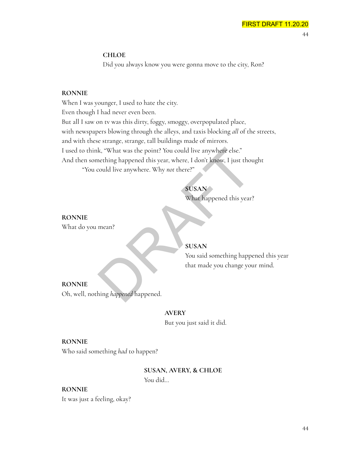#### **CHLOE**

Did you always know you were gonna move to the city, Ron?

#### **RONNIE**

When I was younger, I used to hate the city. Even though I had never even been. But all I saw on tv was this dirty, foggy, smoggy, overpopulated place, with newspapers blowing through the alleys, and taxis blocking *all* of the streets, and with these strange, strange, tall buildings made of mirrors. I used to think, "What was the point? You could live anywhere else." And then something happened this year, where, I don't know, I just thought "You could live anywhere. Why *not* there?" k, "What was the point? You could live anywhere else."<br>
nething happened this year, where, I don't know, I just thou<br>
could live anywhere. Why *not* there?"<br>
SUSAN<br>
What happened this year?<br>
mean?<br>
SUSAN<br>
You said somethin

# **SUSAN**

What happened this year?

**RONNIE** What do you mean?

# **SUSAN**

You said something happened this year that made you change your mind.

#### **RONNIE**

Oh, well, nothing *happened* happened.

#### **AVERY**

But you just said it did.

#### **RONNIE**

Who said something *had* to happen?

# **SUSAN, AVERY, & CHLOE** You did…

#### **RONNIE**

It was just a feeling, okay?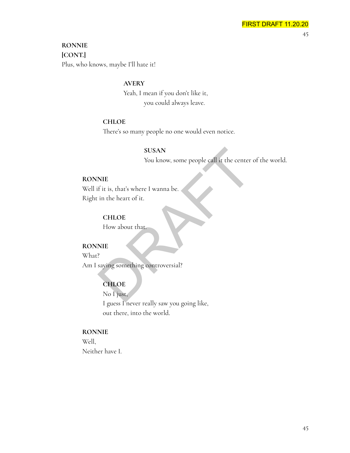# **RONNIE [CONT.]**

Plus, who knows, maybe I'll hate it!

# **AVERY**

Yeah, I mean if you don't like it, you could always leave.

#### **CHLOE**

There's so many people no one would even notice.

#### **SUSAN**

You know, some people call it the center of the world.

#### **RONNIE**

Well if it is, that's where I wanna be. Right in the heart of it. SUSAN<br>
You know, some people call it the center<br>
INIE<br>
fit is, that's where I wanna be.<br>
in the heart of it.<br>
CHLOE<br>
How about that.<br>
PIE<br>
PRIE PRIES Saying something controversial?<br>
CHLOE<br>
No I just,

# **CHLOE**

How about that.

# **RONNIE**

What?

Am I saying something controversial?

# **CHLOE**

No I just, I guess I never really saw you going like, out there, into the world.

#### **RONNIE**

Well, Neither have I.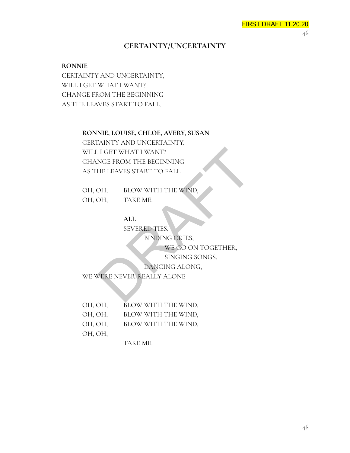# **CERTAINTY/UNCERTAINTY**

#### **RONNIE**

CERTAINTY AND UNCERTAINTY, WILL I GET WHAT I WANT? CHANGE FROM THE BEGINNING AS THE LEAVES START TO FALL.

> **RONNIE, LOUISE, CHLOE, AVERY, SUSAN** CERTAINTY AND UNCERTAINTY, WILL I GET WHAT I WANT? CHANGE FROM THE BEGINNING AS THE LEAVES START TO FALL. THE TRIM THE BEGINNING<br>
> HE LEAVES START TO FALL.<br>
> DH, BLOW WITH THE WIND,<br>
> DH, TAKE ME.<br>
> ALL<br>
> SEVERED TIES, BINDING CRIES, WE GO ON TOGETHER,<br>
> SINGING SONGS,<br>
> DANCING ALONG,<br>
> PERE NEVER REALLY ALONE

| OH, OH, | BLOW WITH THE WIND, |  |
|---------|---------------------|--|
| OH, OH, | TAKE ME.            |  |

# **ALL**

SEVERED TIES,

BINDING CRIES,

WE GO ON TOGETHER,

SINGING SONGS,

DANCING ALONG,

WE WERE NEVER REALLY ALONE

| OH, OH, | BLOW WITH THE WIND, |
|---------|---------------------|
| OH, OH, | BLOW WITH THE WIND, |
| OH, OH, | BLOW WITH THE WIND, |
| OH, OH, |                     |

TAKE ME.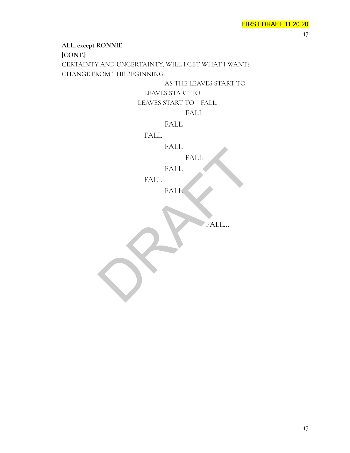**ALL, except RONNIE [CONT.]** CERTAINTY AND UNCERTAINTY, WILL I GET WHAT I WANT? CHANGE FROM THE BEGINNING AS THE LEAVES START TO LEAVES START TO LEAVES START TO FALL. FALL FALL FALL FALL FALL FALL FALL **FALL** FALL... FALL FALL FALL FALL REALL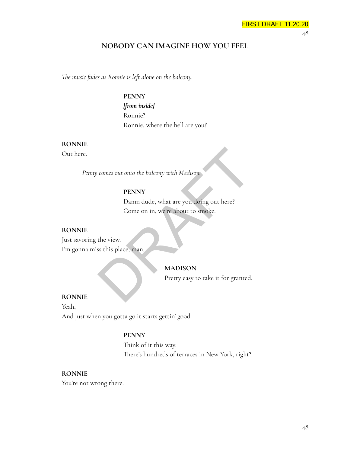# **NOBODY CAN IMAGINE HOW YOU FEEL**

*The music fades as Ronnie is left alone on the balcony.*

**PENNY** *[from inside]* Ronnie? Ronnie, where the hell are you?

#### **RONNIE**

Out here.

*Penny comes out onto the balcony with Madison.*

#### **PENNY**

Damn dude, what are you doing out here? Come on in, we're about to smoke. FRANT<br>
Comes out onto the balcony with Madison<br>
PENNY<br>
Damn dude, what are you doing out here?<br>
Come on in, we're about to smoke.<br>
the view.<br>
Sis this place, man.<br>
MADISON<br>
Pretty easy to take it for granted.

#### **RONNIE**

Just savoring the view. I'm gonna miss this place, man.

#### **MADISON**

Pretty easy to take it for granted.

#### **RONNIE**

Yeah, And just when you gotta go it starts gettin' good.

#### **PENNY**

Think of it this way. There's hundreds of terraces in New York, right?

#### **RONNIE**

You're not wrong there.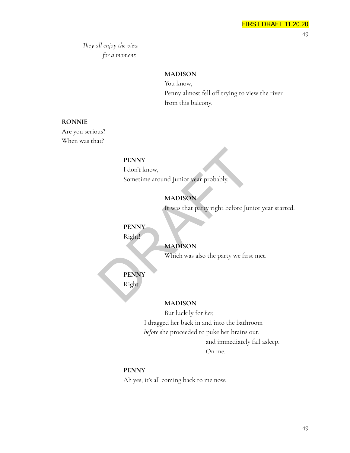*They all enjoy the view for a moment.*

# **MADISON**

You know, Penny almost fell off trying to view the river from this balcony.

#### **RONNIE**

Are you serious? When was that?

#### **PENNY**

I don't know, Sometime around Junior year probably. PENNY<br>
I don't know,<br>
Sometime around Junior year probably.<br>
MADISON<br>
It was that party right before Jun<br>
PENNY<br>
Right!<br>
MADISON<br>
Which was also the party we first<br>
PENNY<br>
Right<br>
MADISON<br>
Which was also the party we first<br>

# **MADISON**

It was that party right before Junior year started.

#### **PENNY**

Right!

# **MADISON**

Which was also the party we first met.

# **PENNY**

Right.

#### **MADISON**

But luckily for *her,* I dragged her back in and into the bathroom *before* she proceeded to puke her brains out, and immediately fall asleep. On me.

#### **PENNY**

Ah yes, it's all coming back to me now.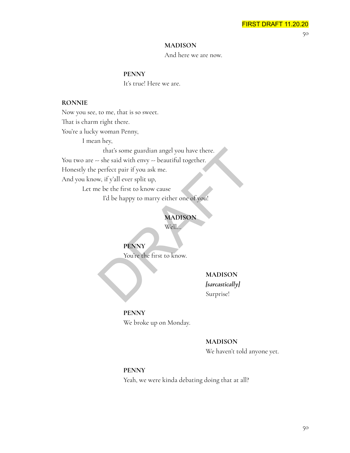50

#### **MADISON**

And here we are now.

#### **PENNY**

It's true! Here we are.

#### **RONNIE**

Now you see, to me, that is so sweet. That is charm right there. You're a lucky woman Penny, I mean hey, that's some guardian angel you have there. You two are -- she said with envy -- beautiful together. Honestly the perfect pair if you ask me. And you know, if y'all ever split up, Let me be the first to know cause that's some guardian angel you have there.<br>
- she said with envy -- beautiful together.<br>
perfect pair if you ask me.<br>
w, if y'all ever split up,<br>
e be the first to know cause<br>
I'd be happy to marry either one of you!<br> **MAD** 

I'd be happy to marry either one of you!

#### **MADISON**

Well…

**PENNY**

You're the first to know.

**MADISON** *[sarcastically]* Surprise!

# **PENNY** We broke up on Monday.

#### **MADISON**

We haven't told anyone yet.

#### **PENNY**

Yeah, we were kinda debating doing that at all?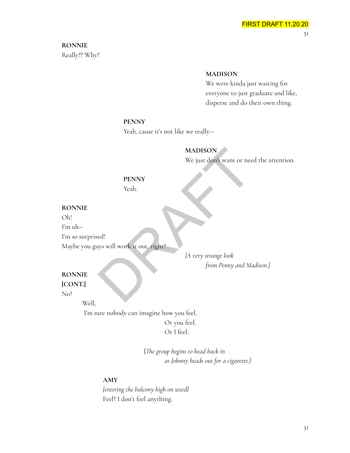# **RONNIE**

Really?? Why?

#### **MADISON**

We were kinda just waiting for everyone to just graduate and like, disperse and do their own thing.

#### **PENNY**

Yeah, cause it's not like we really--

# **MADISON**

We just don't want or need the attention.

# **PENNY** Yeah.

# **RONNIE**

Oh!

I'm uh--

I'm so surprised!

Maybe you guys will work it out, right?

*[A very strange look from Penny and Madison.]* MADISON<br>We just don't want or nee<br>PENNY<br>Yeah.<br>ed!<br>gys will work it out, right?<br>A very strange look<br>from Penny and Ma

# **RONNIE**

**[CONT.]**

No?

Well,

I'm sure nobody can imagine how you feel. Or you feel. Or I feel.

> [*The group begins to head back in as Johnny heads out for a cigarette.]*

# **AMY**

*[entering the balcony high on weed]* Feel? I don't feel anything.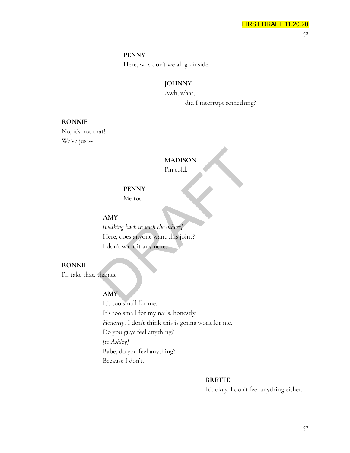#### **PENNY**

Here, why don't we all go inside.

# **JOHNNY**

Awh, what, did I interrupt something?

#### **RONNIE**

No, it's not that! We've just--

# **MADISON**

I'm cold.

# **PENNY**

Me too.

#### **AMY**

*[walking back in with the others]* Here, does anyone want this joint? I don't want it anymore. MADISON<br>
Fm cold.<br>
PENNY<br>
Me too.<br>
AMY<br>
/walking back in with the others)<br>
Here, does anyone want this joint?<br>
I don't want it anymore.<br>
thanks.<br>
AMY

# **RONNIE**

I'll take that, thanks.

# **AMY**

It's too small for me. It's too small for my nails, honestly. *Honestly,* I don't think this is gonna work for me. Do you guys feel anything? *[to Ashley]* Babe, do you feel anything? Because I don't.

#### **BRETTE**

It's okay, I don't feel anything either.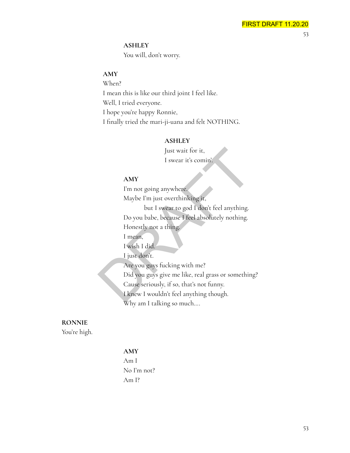# **ASHLEY**

You will, don't worry.

# **AMY**

When? I mean this is like our third joint I feel like. Well, I tried everyone. I hope you're happy Ronnie, I finally tried the mari-ji-uana and felt NOTHING.

# **ASHLEY**

Just wait for it, I swear it's comin'.

# **AMY**

I'm not going anywhere. Maybe I'm just overthinking it, but I swear to god I don't feel anything. Do you babe, because I feel absolutely nothing. Honestly not a thing. I mean, I wish I did. I just don't. Are you guys fucking with me? Did you guys give me like, real grass or something? Cause seriously, if so, that's not funny. I knew I wouldn't feel anything though. Why am I talking so much…. Just wait for it,<br>
I swear it's comin'.<br> **AMY**<br>
I'm not going anywhere.<br>
Maybe I'm just overthinking it,<br>
but I swear to god I don't feel anything.<br>
Do you babe, because I feel absolutely nothing.<br>
Honestly not a thing.<br>
I

# **RONNIE**

You're high.

# **AMY**

Am I No I'm not? Am I?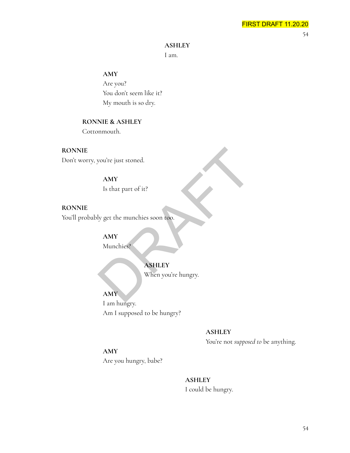54

#### **ASHLEY**

I am.

# **AMY**

Are you? You don't seem like it? My mouth is so dry.

# **RONNIE & ASHLEY**

Cottonmouth.

**RONNIE** Don't worry, you're just stoned.

# **AMY**

Is that part of it?

**RONNIE** You'll probably get the munchies soon too.

> **AMY** Munchies?

# **ASHLEY**

When you're hungry.

**AMY** I am hungry. Am I supposed to be hungry?

# **ASHLEY**

DRAFT

You're not *supposed to* be anything.

# **AMY**

Are you hungry, babe?

**ASHLEY** I could be hungry.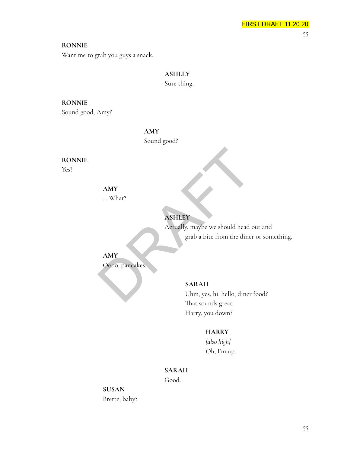**RONNIE**

Want me to grab you guys a snack.

# **ASHLEY**

Sure thing.

# **RONNIE**

Sound good, Amy?

**AMY**

Sound good?

# **RONNIE**

Yes?

# **AMY**

… What?

# **ASHLEY**

Actually, maybe we should head out and grab a bite from the diner or something. AMY<br>
... What?<br>
Actually, maybe we should head of<br>
grab a bite from the diner<br>
ARAH<br>
Oooo, pancakes.<br>
SARAH<br>
Uhm, yes, hi, hello, diner<br>
T

**AMY**

Oooo, pancakes.

# **SARAH** Uhm, yes, hi, hello, diner food? That sounds great.

Harry, you down?

# **HARRY**

*[also high]* Oh, I'm up.

# **SARAH**

Good.

**SUSAN** Brette, baby?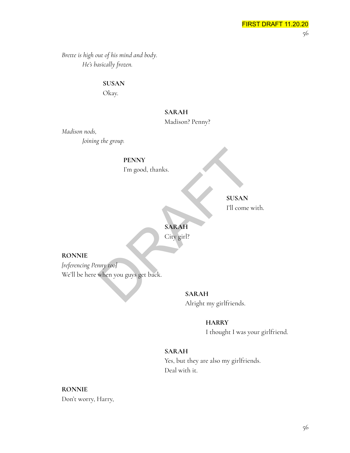*Brette is high out of his mind and body. He's basically frozen.*

**SUSAN**

Okay.

# **SARAH**

Madison? Penny?

*Madison nods,*

*Joining the group.*

**PENNY**

I'm good, thanks.

**SUSAN** I'll come with.

**SARAH**

City girl?

**RONNIE**

*[referencing Penny too]* We'll be here when you guys get back. PENNY<br>
I'm good, thanks.<br>
SUSAN<br>
I'll come v<br>
SARAH<br>
City girl?<br>
when you guys get back.<br>
SARAH<br>
SARAH

**SARAH** Alright my girlfriends.

**HARRY**

I thought I was your girlfriend.

# **SARAH**

Yes, but they are also my girlfriends. Deal with it.

**RONNIE** Don't worry, Harry,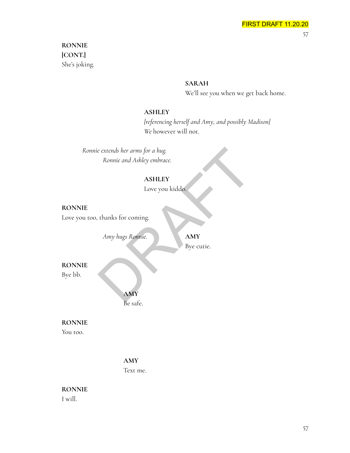# **RONNIE [CONT.]** She's joking.

# **SARAH**

We'll see you when we get back home.

#### **ASHLEY**

*[referencing herself and Amy, and possibly Madison] We* however will not.

*Ronnie extends her arms for a hug. Ronnie and Ashley embrace.* e extends her arms for a hug.<br>
Ronnie and Ashley embrace.<br>
ASHLEY<br>
Love you kiddo.<br>
thanks for coming.<br>
Amy hugs Ronnie.<br>
AMY Bye cutie.

# **ASHLEY**

Love you kiddo.

#### **RONNIE**

Love you too, thanks for coming.

*Amy hugs Ronnie.* **AMY**

Bye cutie.

**RONNIE**

Bye bb.

**AMY** Be safe.

# **RONNIE**

You too.

# **AMY**

Text me.

# **RONNIE**

I will.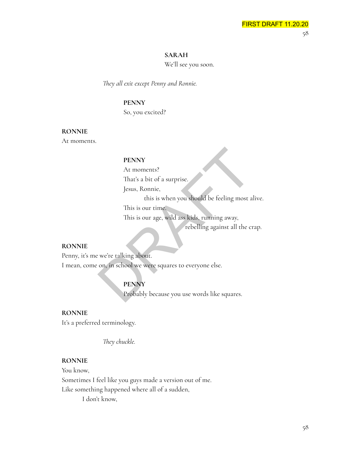#### **SARAH**

We'll see you soon.

*They all exit except Penny and Ronnie.*

#### **PENNY**

So, you excited?

#### **RONNIE**

At moments.

#### **PENNY**

At moments?

That's a bit of a surprise.

Jesus, Ronnie,

this is when you should be feeling most alive.

This is our time.

This is our age, wild ass kids, running away,

rebelling against all the crap.

#### **RONNIE**

Penny, it's me we're talking about. I mean, come on, in school we were squares to everyone else. PENNY<br>
At moments?<br>
That's a bit of a surprise.<br>
Jesus, Ronnie,<br>
this is when you should be feeling most a<br>
This is our time.<br>
This is our age, wild ass kids, running away,<br>
rebelling against all the cr<br>
we're talking abou

# **PENNY**

Probably because you use words like squares.

#### **RONNIE**

It's a preferred terminology.

*They chuckle.*

#### **RONNIE**

You know, Sometimes I feel like you guys made a version out of me. Like something happened where all of a sudden, I don't know,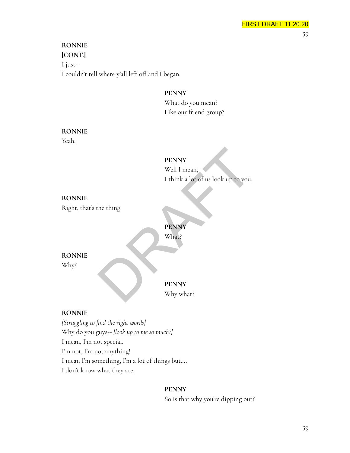# **RONNIE [CONT.]** I just-- I couldn't tell where y'all left off and I began.

**PENNY**

What do you mean? Like our friend group?

#### **RONNIE**

Yeah.

# **PENNY**

Well I mean, I think a lot of us look up to you. PENNY<br>Well I mean,<br>I think a lot of us look up to you.<br>the thing.<br>PENNY<br>What?<br>PENNY<br>Why what?

# **RONNIE**

Right, that's the thing.

**PENNY** What?

#### **RONNIE**

Why?

**PENNY** Why what?

# **RONNIE**

*[Struggling to find the right words]* Why do you guys-- *[look up to me so much?]* I mean, I'm not special. I'm not, I'm not anything! I mean I'm something, I'm a lot of things but…. I don't know what they are.

# **PENNY**

So is that why you're dipping out?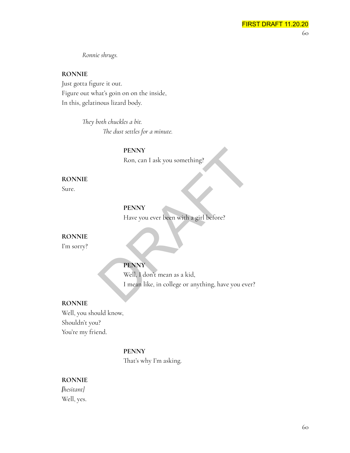*Ronnie shrugs.*

#### **RONNIE**

Just gotta figure it out. Figure out what's goin on on the inside, In this, gelatinous lizard body.

> *They both chuckles a bit. The dust settles for a minute.*

> > **PENNY** Ron, can I ask you something?

**RONNIE**

Sure.

# **PENNY**

Have you ever been with a girl before?

#### **RONNIE**

I'm sorry?

# **PENNY**

Well, I don't mean as a kid, I mean like, in college or anything, have you ever? PENNY<br>
Ron, can I ask you something?<br>
PENNY<br>
Have you ever been with a girl before?<br>
PENNY<br>
Well, I don't mean as a kid,<br>
I mean like, in college or anything, have you ever

#### **RONNIE**

Well, you should know, Shouldn't you? You're my friend.

#### **PENNY**

That's why I'm asking.

#### **RONNIE**

*[hesitant]* Well, yes.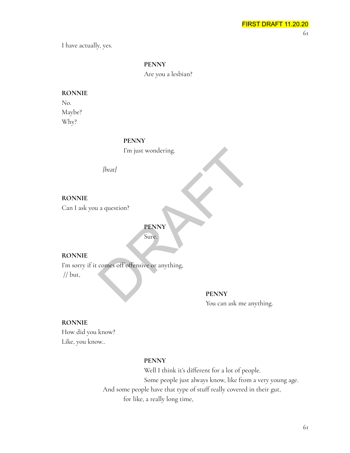I have actually, yes.

#### **PENNY**

Are you a lesbian?

# **RONNIE** No.

Maybe? Why?

#### **PENNY**

I'm just wondering.

*[beat]*

# **RONNIE**

Can I ask you a question?

# **PENNY** Sure.

**RONNIE**

I'm sorry if it comes off offensive or anything, I'm just wondering.<br>
[beat]<br>
a question?<br> **EENNY**<br>
Sure.<br>
Comes off offensive or anything,<br>
PENNY<br>
PENNY

// but,

#### **PENNY**

You can ask me anything.

#### **RONNIE**

How did you know? Like, you know..

#### **PENNY**

Well I think it's different for a lot of people. Some people just always know, like from a very young age. And some people have that type of stuff really covered in their gut, for like, a really long time,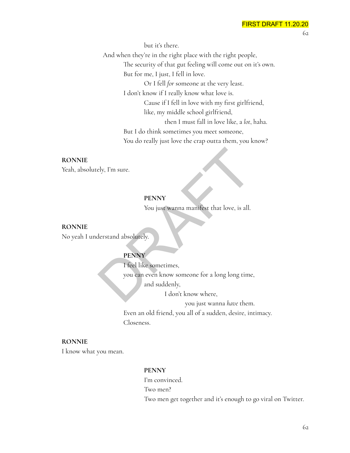but it's there. And when they're in the right place with the right people, The security of that gut feeling will come out on it's own. But for me, I just, I fell in love. Or I fell *for* someone at the very least. I don't know if I really know what love is. Cause if I fell in love with my first girlfriend, like, my middle school girlfriend, then I must fall in love like, a *lot*, haha. But I do think sometimes you meet someone, You do really just love the crap outta them, you know?

#### **RONNIE**

Yeah, absolutely, I'm sure.

# **PENNY**

You just wanna manifest that love, is all.

**RONNIE** No yeah I understand absolutely.

# **PENNY**

I feel like sometimes, you can even know someone for a long long time, and suddenly, EXELET<br>
PENNY<br>
You just wanna manifest that love, is all.<br>
derstand absolutely.<br>
PENNY<br>
I feel like sometimes,<br>
you can even know someone for a long long time<br>
and suddenly,<br>
I don't know where,

I don't know where,

you just wanna *have* them.

Even an old friend, you all of a sudden, desire, intimacy. Closeness.

#### **RONNIE**

I know what you mean.

#### **PENNY**

I'm convinced. Two men? Two men get together and it's enough to go viral on Twitter.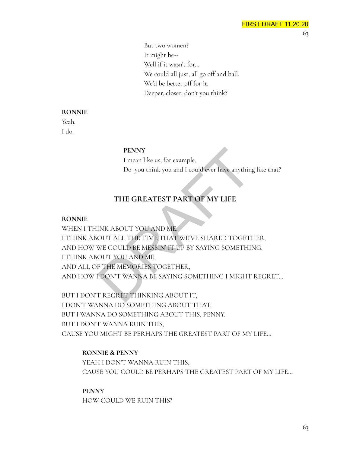But two women? It might be-- Well if it wasn't for… We could all just, all go off and ball. We'd be better off for it. Deeper, closer, don't you think?

#### **RONNIE**

Yeah. I do.

#### **PENNY**

I mean like us, for example, Do you think you and I could ever have anything like that?

# **THE GREATEST PART OF MY LIFE**

#### **RONNIE**

WHEN I THINK ABOUT YOU AND ME, I THINK ABOUT ALL THE TIME THAT WE'VE SHARED TOGETHER, AND HOW WE COULD BE MESSIN' IT UP BY SAYING SOMETHING. I THINK ABOUT YOU AND ME, AND ALL OF THE MEMORIES TOGETHER, AND HOW I DON'T WANNA BE SAYING SOMETHING I MIGHT REGRET… PENNY<br>
I mean like us, for example,<br>
Do you think you and I could ever have anything<br>
THE GREATEST PART OF MY LIFE<br>
INK ABOUT YOU AND ME,<br>
OUT ALL THE TIME THAT WE'VE SHARED TOGETH<br>
WE COULD BE MESSIN' IT UP BY SAYING SOME

BUT I DON'T REGRET THINKING ABOUT IT, I DON'T WANNA DO SOMETHING ABOUT THAT, BUT I WANNA DO SOMETHING ABOUT THIS, PENNY. BUT I DON'T WANNA RUIN THIS, CAUSE YOU MIGHT BE PERHAPS THE GREATEST PART OF MY LIFE…

# **RONNIE & PENNY**

YEAH I DON'T WANNA RUIN THIS, CAUSE YOU COULD BE PERHAPS THE GREATEST PART OF MY LIFE…

**PENNY** HOW COULD WE RUIN THIS?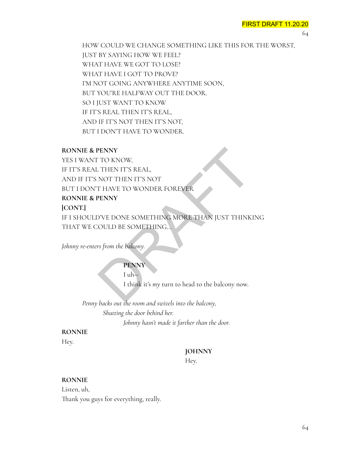64

HOW COULD WE CHANGE SOMETHING LIKE THIS FOR THE WORST, JUST BY SAYING HOW WE FEEL? WHAT HAVE WE GOT TO LOSE? WHAT HAVE I GOT TO PROVE? I'M NOT GOING ANYWHERE ANYTIME SOON, BUT YOU'RE HALFWAY OUT THE DOOR. SO I JUST WANT TO KNOW IF IT'S REAL THEN IT'S REAL, AND IF IT'S NOT THEN IT'S NOT, BUT I DON'T HAVE TO WONDER.

#### **RONNIE & PENNY**

YES I WANT TO KNOW, IF IT'S REAL THEN IT'S REAL, AND IF IT'S NOT THEN IT'S NOT BUT I DON'T HAVE TO WONDER FOREVER **RONNIE & PENNY [CONT.]** IF I SHOULD'VE DONE SOMETHING MORE THAN JUST THINKING THAT WE COULD BE SOMETHING... PENNY<br>
TO KNOW,<br>
THEN IT'S REAL,<br>
NOT THEN IT'S NOT<br>
THAVE TO WONDER FOREVER<br>
PENNY<br>
D'VE DONE SOMETHING...<br>
Solution of the ball of the ball of the ball only<br>
Tuher<br>
I what it's my turn to head to the ballony now.

*Johnny re-enters from the balcony.*

# **PENNY**

 $I$  uh $-$ 

I think it's *my* turn to head to the balcony now.

*Penny backs out the room and swivels into the balcony, Shutting the door behind her. Johnny hasn't made it farther than the door.*

# **RONNIE**

Hey.

# **JOHNNY**

Hey.

## **RONNIE**

Listen, uh, Thank you guys for everything, really.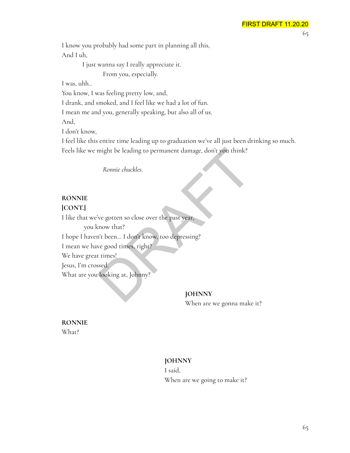I know you probably had some part in planning all this, And I uh,

> I just wanna say I really appreciate it. From you, especially.

I was, uhh..

You know, I was feeling pretty low, and,

I drank, and smoked, and I feel like we had a lot of fun.

I mean me and you, generally speaking, but also all of us.

And,

I don't know,

I feel like this entire time leading up to graduation we've all just been drinking so much. Feels like we might be leading to permanent damage, don't you think?

*Ronnie chuckles.*

# **RONNIE**

# **[CONT.]**

I like that we've gotten so close over the past year,

you know that? I hope I haven't been… I don't know, too depressing? I mean we have good times, right? We have great times! Jesus, I'm crossed. What are you looking at, Johnny? might be leading to permanent damage, don't you think?<br>
Ronnie chuckles.<br>
Nonnie chuckles.<br>
Nonnie chuckles.<br>
Nonnie chuckles.<br>
Nonnie chuckles.<br>
Nonnie chuckles.<br>
Nonnie chuck areas and the past year,<br>
Nonnie chemes.<br>
The

**JOHNNY**

When are we gonna make it?

**RONNIE** What?

# **JOHNNY**

I said,

When are we going to make it?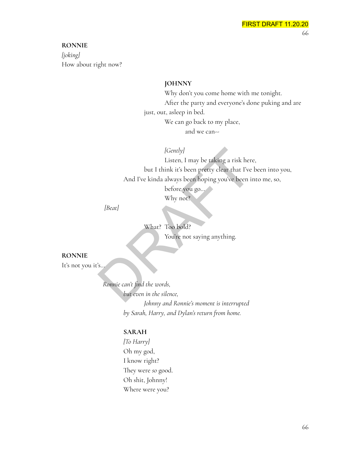#### **RONNIE**

*[joking]* How about right now?

#### **JOHNNY**

Why don't you come home with me tonight. After the party and everyone's done puking and are just, out, asleep in bed. We can go back to my place, and we can--

*[Gently]*

Listen, I may be taking a risk here, but I think it's been pretty clear that I've been into you, And I've kinda always been hoping you've been into me, so, before you go… Why not? (Gently)<br>
Listen, I may be taking a risk here<br>
but I think it's been pretty clear that I've<br>
And I've kinda always been hoping you've been in<br>
before you go...<br>
Why not?<br>
(Beat)<br>
What? Too bold?<br>
You're not saying anything

*[Beat]*

What? Too bold? You're not saying anything.

#### **RONNIE**

It's not you it's…

*Ronnie can't find the words, but even in the silence, Johnny and Ronnie's moment is interrupted by Sarah, Harry, and Dylan's return from home.*

# **SARAH**

*[To Harry]* Oh my god, I know right? They were *so* good. Oh shit, Johnny! Where were you?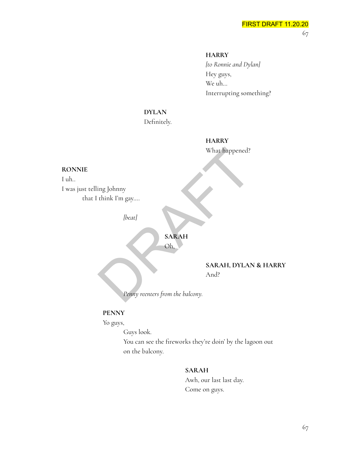# **HARRY**

*[to Ronnie and Dylan]* Hey guys, We uh… Interrupting something?

# **DYLAN**

Definitely.

# **HARRY** What happened?

#### **RONNIE**

I uh.. I was just telling Johnny that I think I'm gay…. What happened?<br>
Unix I'm gay....<br>
Unix I'm gay....<br>
Unix SARAH<br>
Oh, SARAH<br>
SARAH, DYLAN<br>
And?<br>
Penny reenters from the balcony.

*[beat]*

# **SARAH**

Oh,

**SARAH, DYLAN & HARRY** And?

*Penny reenters from the balcony.*

#### **PENNY**

Yo guys,

Guys look.

You can see the fireworks they're doin' by the lagoon out on the balcony.

#### **SARAH**

Awh, our last last day. Come on guys.